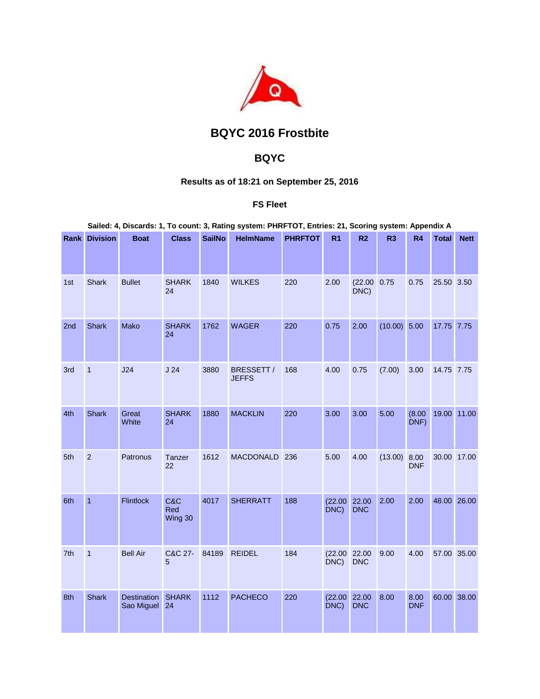

# **BQYC 2016 Frostbite**

## **BQYC**

## **Results as of 18:21 on September 25, 2016**

## **FS Fleet**

|     | <b>Rank Division</b> | <b>Boat</b>               | <b>Class</b>          | <b>SailNo</b> | <b>HelmName</b>            | <b>PHRFTOT</b> | R <sub>1</sub>  | R <sub>2</sub>      | R <sub>3</sub> | <b>R4</b>          | <b>Total</b> | <b>Nett</b> |
|-----|----------------------|---------------------------|-----------------------|---------------|----------------------------|----------------|-----------------|---------------------|----------------|--------------------|--------------|-------------|
|     |                      |                           |                       |               |                            |                |                 |                     |                |                    |              |             |
| 1st | <b>Shark</b>         | <b>Bullet</b>             | <b>SHARK</b><br>24    | 1840          | <b>WILKES</b>              | 220            | 2.00            | (22.00 0.75<br>DNC) |                | 0.75               | 25.50 3.50   |             |
| 2nd | <b>Shark</b>         | Mako                      | <b>SHARK</b><br>24    | 1762          | <b>WAGER</b>               | 220            | 0.75            | 2.00                | $(10.00)$ 5.00 |                    | 17.75 7.75   |             |
| 3rd | $\mathbf{1}$         | J24                       | J <sub>24</sub>       | 3880          | BRESSETT /<br><b>JEFFS</b> | 168            | 4.00            | 0.75                | (7.00)         | 3.00               | 14.75 7.75   |             |
| 4th | <b>Shark</b>         | Great<br>White            | <b>SHARK</b><br>24    | 1880          | <b>MACKLIN</b>             | 220            | 3.00            | 3.00                | 5.00           | (8.00)<br>DNF)     |              | 19.00 11.00 |
| 5th | $\overline{2}$       | Patronus                  | Tanzer<br>22          | 1612          | <b>MACDONALD</b>           | 236            | 5.00            | 4.00                | (13.00)        | 8.00<br><b>DNF</b> |              | 30.00 17.00 |
| 6th | $\overline{1}$       | <b>Flintlock</b>          | C&C<br>Red<br>Wing 30 | 4017          | <b>SHERRATT</b>            | 188            | (22.00)<br>DNC) | 22.00<br><b>DNC</b> | 2.00           | 2.00               |              | 48.00 26.00 |
| 7th | $\overline{1}$       | <b>Bell Air</b>           | C&C 27-<br>5          | 84189         | <b>REIDEL</b>              | 184            | (22.00)<br>DNC) | 22.00<br><b>DNC</b> | 9.00           | 4.00               |              | 57.00 35.00 |
| 8th | <b>Shark</b>         | Destination<br>Sao Miguel | <b>SHARK</b><br>24    | 1112          | <b>PACHECO</b>             | 220            | (22.00)<br>DNC) | 22.00<br><b>DNC</b> | 8.00           | 8.00<br><b>DNF</b> |              | 60.00 38.00 |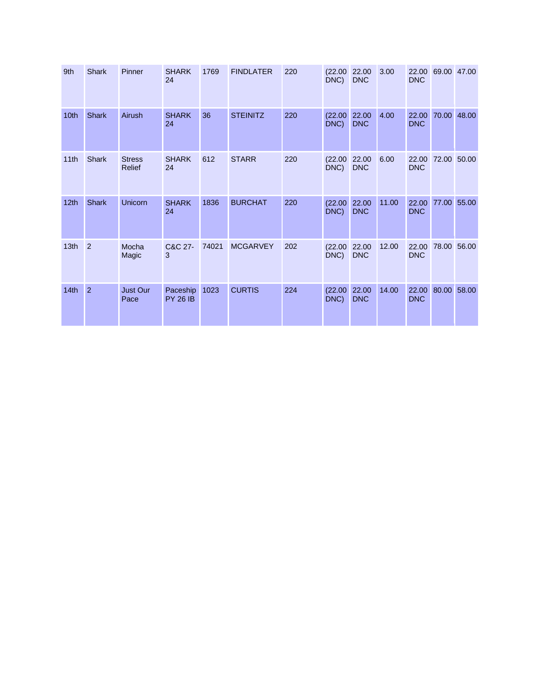| 9th              | <b>Shark</b>   | Pinner                         | <b>SHARK</b><br>24          | 1769  | <b>FINDLATER</b> | 220 | (22.00)<br>DNC) | 22.00<br><b>DNC</b> | 3.00  | 22.00<br><b>DNC</b> | 69.00 47.00 |             |
|------------------|----------------|--------------------------------|-----------------------------|-------|------------------|-----|-----------------|---------------------|-------|---------------------|-------------|-------------|
| 10th             | <b>Shark</b>   | Airush                         | <b>SHARK</b><br>24          | 36    | <b>STEINITZ</b>  | 220 | (22.00)<br>DNC) | 22.00<br><b>DNC</b> | 4.00  | 22.00<br><b>DNC</b> |             | 70.00 48.00 |
| 11 <sub>th</sub> | <b>Shark</b>   | <b>Stress</b><br><b>Relief</b> | <b>SHARK</b><br>24          | 612   | <b>STARR</b>     | 220 | (22.00)<br>DNC) | 22.00<br><b>DNC</b> | 6.00  | 22.00<br><b>DNC</b> |             | 72.00 50.00 |
| 12 <sub>th</sub> | <b>Shark</b>   | Unicorn                        | <b>SHARK</b><br>24          | 1836  | <b>BURCHAT</b>   | 220 | (22.00)<br>DNC) | 22.00<br><b>DNC</b> | 11.00 | 22.00<br><b>DNC</b> | 77.00 55.00 |             |
| 13 <sub>th</sub> | $\overline{2}$ | Mocha<br>Magic                 | C&C 27-<br>3                | 74021 | <b>MCGARVEY</b>  | 202 | (22.00)<br>DNC) | 22.00<br><b>DNC</b> | 12.00 | 22.00<br><b>DNC</b> |             | 78.00 56.00 |
| 14 <sub>th</sub> | $\overline{2}$ | <b>Just Our</b><br>Pace        | Paceship<br><b>PY 26 IB</b> | 1023  | <b>CURTIS</b>    | 224 | (22.00)<br>DNC) | 22.00<br><b>DNC</b> | 14.00 | 22.00<br><b>DNC</b> | 80.00 58.00 |             |